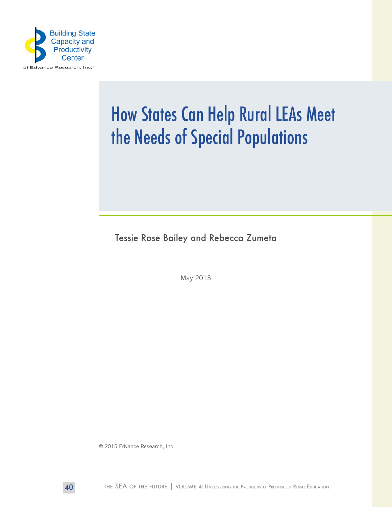

# How States Can Help Rural LEAs Meet the Needs of Special Populations

Tessie Rose Bailey and Rebecca Zumeta

May 2015

© 2015 Edvance Research, Inc.

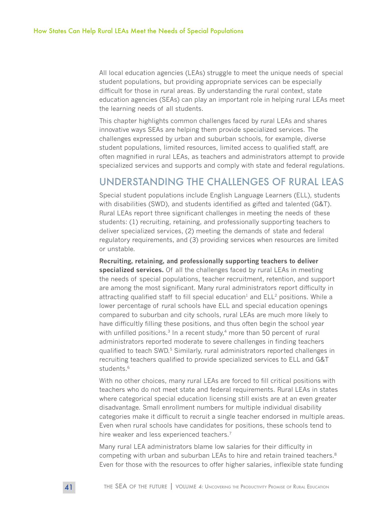All local education agencies (LEAs) struggle to meet the unique needs of special student populations, but providing appropriate services can be especially difficult for those in rural areas. By understanding the rural context, state education agencies (SEAs) can play an important role in helping rural LEAs meet the learning needs of all students.

This chapter highlights common challenges faced by rural LEAs and shares innovative ways SEAs are helping them provide specialized services. The challenges expressed by urban and suburban schools, for example, diverse student populations, limited resources, limited access to qualified staff, are often magnified in rural LEAs, as teachers and administrators attempt to provide specialized services and supports and comply with state and federal regulations.

### UNDERSTANDING THE CHALLENGES OF RURAL LEAS

Special student populations include English Language Learners (ELL), students with disabilities (SWD), and students identified as gifted and talented (G&T). Rural LEAs report three significant challenges in meeting the needs of these students: (1) recruiting, retaining, and professionally supporting teachers to deliver specialized services, (2) meeting the demands of state and federal regulatory requirements, and (3) providing services when resources are limited or unstable.

**Recruiting, retaining, and professionally supporting teachers to deliver specialized services.** Of all the challenges faced by rural LEAs in meeting the needs of special populations, teacher recruitment, retention, and support are among the most significant. Many rural administrators report difficulty in attracting qualified staff to fill special education<sup>1</sup> and  $ELL<sup>2</sup>$  positions. While a lower percentage of rural schools have ELL and special education openings compared to suburban and city schools, rural LEAs are much more likely to have difficultly filling these positions, and thus often begin the school year with unfilled positions.<sup>3</sup> In a recent study, $4$  more than 50 percent of rural administrators reported moderate to severe challenges in finding teachers qualified to teach SWD.<sup>5</sup> Similarly, rural administrators reported challenges in recruiting teachers qualified to provide specialized services to ELL and G&T students.<sup>6</sup>

With no other choices, many rural LEAs are forced to fill critical positions with teachers who do not meet state and federal requirements. Rural LEAs in states where categorical special education licensing still exists are at an even greater disadvantage. Small enrollment numbers for multiple individual disability categories make it difficult to recruit a single teacher endorsed in multiple areas. Even when rural schools have candidates for positions, these schools tend to hire weaker and less experienced teachers.<sup>7</sup>

Many rural LEA administrators blame low salaries for their difficulty in competing with urban and suburban LEAs to hire and retain trained teachers.<sup>8</sup> Even for those with the resources to offer higher salaries, inflexible state funding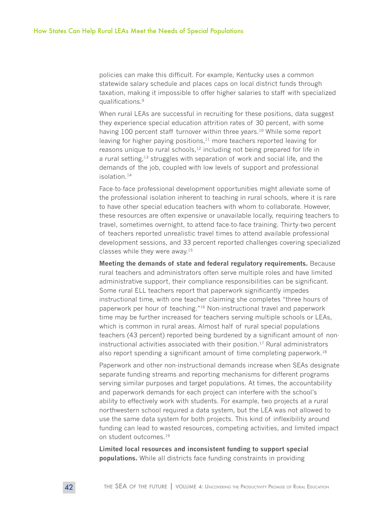policies can make this difficult. For example, Kentucky uses a common statewide salary schedule and places caps on local district funds through taxation, making it impossible to offer higher salaries to staff with specialized qualifications.9

When rural LEAs are successful in recruiting for these positions, data suggest they experience special education attrition rates of 30 percent, with some having 100 percent staff turnover within three years.<sup>10</sup> While some report leaving for higher paying positions, $11$  more teachers reported leaving for reasons unique to rural schools, $12$  including not being prepared for life in a rural setting,<sup>13</sup> struggles with separation of work and social life, and the demands of the job, coupled with low levels of support and professional isolation.14

Face-to-face professional development opportunities might alleviate some of the professional isolation inherent to teaching in rural schools, where it is rare to have other special education teachers with whom to collaborate. However, these resources are often expensive or unavailable locally, requiring teachers to travel, sometimes overnight, to attend face-to-face training. Thirty-two percent of teachers reported unrealistic travel times to attend available professional development sessions, and 33 percent reported challenges covering specialized classes while they were away.15

**Meeting the demands of state and federal regulatory requirements.** Because rural teachers and administrators often serve multiple roles and have limited administrative support, their compliance responsibilities can be significant. Some rural ELL teachers report that paperwork significantly impedes instructional time, with one teacher claiming she completes "three hours of paperwork per hour of teaching."16 Non-instructional travel and paperwork time may be further increased for teachers serving multiple schools or LEAs, which is common in rural areas. Almost half of rural special populations teachers (43 percent) reported being burdened by a significant amount of noninstructional activities associated with their position.17 Rural administrators also report spending a significant amount of time completing paperwork.<sup>18</sup>

Paperwork and other non-instructional demands increase when SEAs designate separate funding streams and reporting mechanisms for different programs serving similar purposes and target populations. At times, the accountability and paperwork demands for each project can interfere with the school's ability to effectively work with students. For example, two projects at a rural northwestern school required a data system, but the LEA was not allowed to use the same data system for both projects. This kind of inflexibility around funding can lead to wasted resources, competing activities, and limited impact on student outcomes.<sup>19</sup>

**Limited local resources and inconsistent funding to support special populations.** While all districts face funding constraints in providing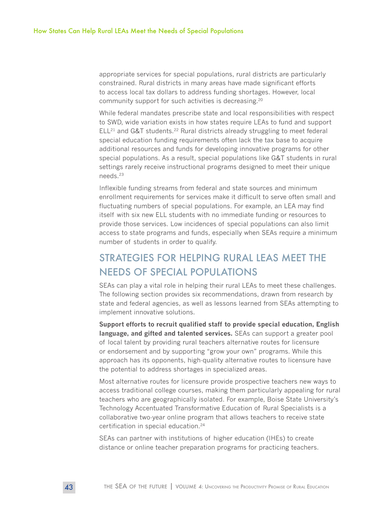appropriate services for special populations, rural districts are particularly constrained. Rural districts in many areas have made significant efforts to access local tax dollars to address funding shortages. However, local community support for such activities is decreasing.20

While federal mandates prescribe state and local responsibilities with respect to SWD, wide variation exists in how states require LEAs to fund and support  $ELL<sup>21</sup>$  and G&T students.<sup>22</sup> Rural districts already struggling to meet federal special education funding requirements often lack the tax base to acquire additional resources and funds for developing innovative programs for other special populations. As a result, special populations like G&T students in rural settings rarely receive instructional programs designed to meet their unique needs.23

Inflexible funding streams from federal and state sources and minimum enrollment requirements for services make it difficult to serve often small and fluctuating numbers of special populations. For example, an LEA may find itself with six new ELL students with no immediate funding or resources to provide those services. Low incidences of special populations can also limit access to state programs and funds, especially when SEAs require a minimum number of students in order to qualify.

## STRATEGIES FOR HELPING RURAL LEAS MEET THE NEEDS OF SPECIAL POPULATIONS

SEAs can play a vital role in helping their rural LEAs to meet these challenges. The following section provides six recommendations, drawn from research by state and federal agencies, as well as lessons learned from SEAs attempting to implement innovative solutions.

**Support efforts to recruit qualified staff to provide special education, English language, and gifted and talented services.** SEAs can support a greater pool of local talent by providing rural teachers alternative routes for licensure or endorsement and by supporting "grow your own" programs. While this approach has its opponents, high-quality alternative routes to licensure have the potential to address shortages in specialized areas.

Most alternative routes for licensure provide prospective teachers new ways to access traditional college courses, making them particularly appealing for rural teachers who are geographically isolated. For example, Boise State University's Technology Accentuated Transformative Education of Rural Specialists is a collaborative two-year online program that allows teachers to receive state certification in special education.24

SEAs can partner with institutions of higher education (IHEs) to create distance or online teacher preparation programs for practicing teachers.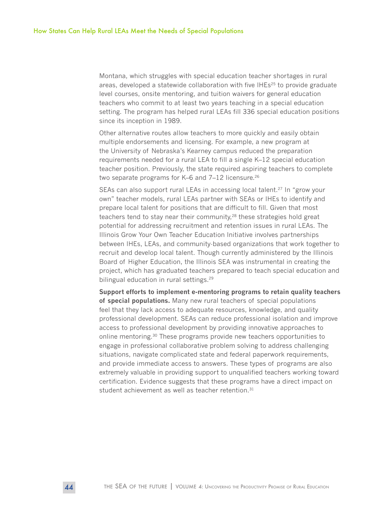Montana, which struggles with special education teacher shortages in rural areas, developed a statewide collaboration with five IHEs<sup>25</sup> to provide graduate level courses, onsite mentoring, and tuition waivers for general education teachers who commit to at least two years teaching in a special education setting. The program has helped rural LEAs fill 336 special education positions since its inception in 1989.

Other alternative routes allow teachers to more quickly and easily obtain multiple endorsements and licensing. For example, a new program at the University of Nebraska's Kearney campus reduced the preparation requirements needed for a rural LEA to fill a single K–12 special education teacher position. Previously, the state required aspiring teachers to complete two separate programs for K–6 and 7–12 licensure.<sup>26</sup>

SEAs can also support rural LEAs in accessing local talent.<sup>27</sup> In "grow your own" teacher models, rural LEAs partner with SEAs or IHEs to identify and prepare local talent for positions that are difficult to fill. Given that most teachers tend to stay near their community,<sup>28</sup> these strategies hold great potential for addressing recruitment and retention issues in rural LEAs. The Illinois Grow Your Own Teacher Education Initiative involves partnerships between IHEs, LEAs, and community-based organizations that work together to recruit and develop local talent. Though currently administered by the Illinois Board of Higher Education, the Illinois SEA was instrumental in creating the project, which has graduated teachers prepared to teach special education and bilingual education in rural settings.<sup>29</sup>

**Support efforts to implement e-mentoring programs to retain quality teachers of special populations.** Many new rural teachers of special populations feel that they lack access to adequate resources, knowledge, and quality professional development. SEAs can reduce professional isolation and improve access to professional development by providing innovative approaches to online mentoring.30 These programs provide new teachers opportunities to engage in professional collaborative problem solving to address challenging situations, navigate complicated state and federal paperwork requirements, and provide immediate access to answers. These types of programs are also extremely valuable in providing support to unqualified teachers working toward certification. Evidence suggests that these programs have a direct impact on student achievement as well as teacher retention.<sup>31</sup>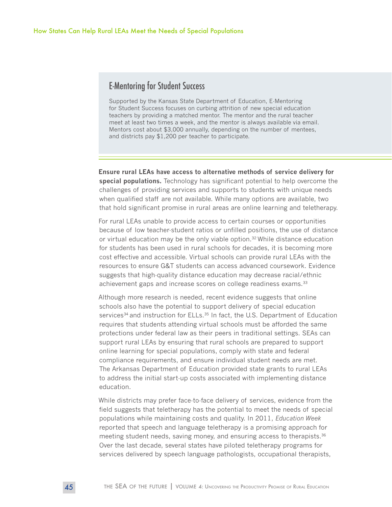#### E-Mentoring for Student Success

Supported by the Kansas State Department of Education, E-Mentoring for Student Success focuses on curbing attrition of new special education teachers by providing a matched mentor. The mentor and the rural teacher meet at least two times a week, and the mentor is always available via email. Mentors cost about \$3,000 annually, depending on the number of mentees, and districts pay \$1,200 per teacher to participate.

**Ensure rural LEAs have access to alternative methods of service delivery for special populations.** Technology has significant potential to help overcome the challenges of providing services and supports to students with unique needs when qualified staff are not available. While many options are available, two that hold significant promise in rural areas are online learning and teletherapy.

For rural LEAs unable to provide access to certain courses or opportunities because of low teacher-student ratios or unfilled positions, the use of distance or virtual education may be the only viable option.<sup>32</sup> While distance education for students has been used in rural schools for decades, it is becoming more cost effective and accessible. Virtual schools can provide rural LEAs with the resources to ensure G&T students can access advanced coursework. Evidence suggests that high-quality distance education may decrease racial/ethnic achievement gaps and increase scores on college readiness exams.33

Although more research is needed, recent evidence suggests that online schools also have the potential to support delivery of special education services<sup>34</sup> and instruction for ELLs.<sup>35</sup> In fact, the U.S. Department of Education requires that students attending virtual schools must be afforded the same protections under federal law as their peers in traditional settings. SEAs can support rural LEAs by ensuring that rural schools are prepared to support online learning for special populations, comply with state and federal compliance requirements, and ensure individual student needs are met. The Arkansas Department of Education provided state grants to rural LEAs to address the initial start-up costs associated with implementing distance education.

While districts may prefer face-to-face delivery of services, evidence from the field suggests that teletherapy has the potential to meet the needs of special populations while maintaining costs and quality. In 2011, *Education Week*  reported that speech and language teletherapy is a promising approach for meeting student needs, saving money, and ensuring access to therapists.<sup>36</sup> Over the last decade, several states have piloted teletherapy programs for services delivered by speech language pathologists, occupational therapists,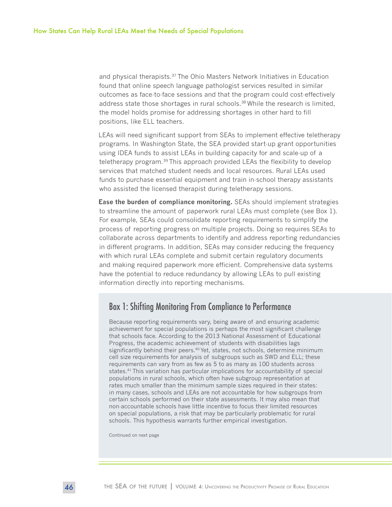and physical therapists.<sup>37</sup> The Ohio Masters Network Initiatives in Education found that online speech language pathologist services resulted in similar outcomes as face-to-face sessions and that the program could cost-effectively address state those shortages in rural schools.<sup>38</sup> While the research is limited, the model holds promise for addressing shortages in other hard to fill positions, like ELL teachers.

LEAs will need significant support from SEAs to implement effective teletherapy programs. In Washington State, the SEA provided start-up grant opportunities using IDEA funds to assist LEAs in building capacity for and scale-up of a teletherapy program.<sup>39</sup> This approach provided LEAs the flexibility to develop services that matched student needs and local resources. Rural LEAs used funds to purchase essential equipment and train in-school therapy assistants who assisted the licensed therapist during teletherapy sessions.

**Ease the burden of compliance monitoring.** SEAs should implement strategies to streamline the amount of paperwork rural LEAs must complete (see Box 1). For example, SEAs could consolidate reporting requirements to simplify the process of reporting progress on multiple projects. Doing so requires SEAs to collaborate across departments to identify and address reporting redundancies in different programs. In addition, SEAs may consider reducing the frequency with which rural LEAs complete and submit certain regulatory documents and making required paperwork more efficient. Comprehensive data systems have the potential to reduce redundancy by allowing LEAs to pull existing information directly into reporting mechanisms.

#### Box 1: Shifting Monitoring From Compliance to Performance

Because reporting requirements vary, being aware of and ensuring academic achievement for special populations is perhaps the most significant challenge that schools face. According to the 2013 National Assessment of Educational Progress, the academic achievement of students with disabilities lags significantly behind their peers.<sup>40</sup> Yet, states, not schools, determine minimum cell size requirements for analysis of subgroups such as SWD and ELL; these requirements can vary from as few as 5 to as many as 100 students across states.41 This variation has particular implications for accountability of special populations in rural schools, which often have subgroup representation at rates much smaller than the minimum sample sizes required in their states: in many cases, schools and LEAs are not accountable for how subgroups from certain schools performed on their state assessments. It may also mean that non-accountable schools have little incentive to focus their limited resources on special populations, a risk that may be particularly problematic for rural schools. This hypothesis warrants further empirical investigation.

Continued on next page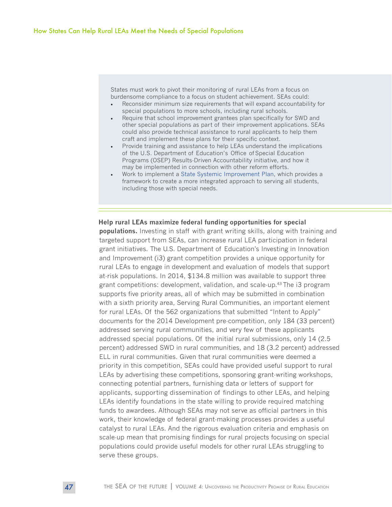States must work to pivot their monitoring of rural LEAs from a focus on burdensome compliance to a focus on student achievement. SEAs could:

- Reconsider minimum size requirements that will expand accountability for special populations to more schools, including rural schools.
- Require that school improvement grantees plan specifically for SWD and other special populations as part of their improvement applications. SEAs could also provide technical assistance to rural applicants to help them craft and implement these plans for their specific context.
- Provide training and assistance to help LEAs understand the implications of the U.S. Department of Education's Office of Special Education Programs (OSEP) Results-Driven Accountability initiative, and how it may be implemented in connection with other reform efforts.
- Work to implement a [State Systemic Improvement Plan,](http://www.bscpcenter.org/sped/) which provides a framework to create a more integrated approach to serving all students, including those with special needs.

#### **Help rural LEAs maximize federal funding opportunities for special**

**populations.** Investing in staff with grant writing skills, along with training and targeted support from SEAs, can increase rural LEA participation in federal grant initiatives. The U.S. Department of Education's Investing in Innovation and Improvement (i3) grant competition provides a unique opportunity for rural LEAs to engage in development and evaluation of models that support at-risk populations. In 2014, \$134.8 million was available to support three grant competitions: development, validation, and scale-up.<sup>43</sup> The i3 program supports five priority areas, all of which may be submitted in combination with a sixth priority area, Serving Rural Communities, an important element for rural LEAs. Of the 562 organizations that submitted "Intent to Apply" documents for the 2014 Development pre-competition, only 184 (33 percent) addressed serving rural communities, and very few of these applicants addressed special populations. Of the initial rural submissions, only 14 (2.5 percent) addressed SWD in rural communities, and 18 (3.2 percent) addressed ELL in rural communities. Given that rural communities were deemed a priority in this competition, SEAs could have provided useful support to rural LEAs by advertising these competitions, sponsoring grant-writing workshops, connecting potential partners, furnishing data or letters of support for applicants, supporting dissemination of findings to other LEAs, and helping LEAs identify foundations in the state willing to provide required matching funds to awardees. Although SEAs may not serve as official partners in this work, their knowledge of federal grant-making processes provides a useful catalyst to rural LEAs. And the rigorous evaluation criteria and emphasis on scale-up mean that promising findings for rural projects focusing on special populations could provide useful models for other rural LEAs struggling to serve these groups.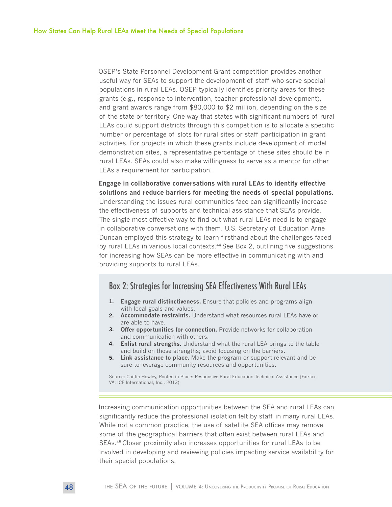OSEP's State Personnel Development Grant competition provides another useful way for SEAs to support the development of staff who serve special populations in rural LEAs. OSEP typically identifies priority areas for these grants (e.g., response to intervention, teacher professional development), and grant awards range from \$80,000 to \$2 million, depending on the size of the state or territory. One way that states with significant numbers of rural LEAs could support districts through this competition is to allocate a specific number or percentage of slots for rural sites or staff participation in grant activities. For projects in which these grants include development of model demonstration sites, a representative percentage of these sites should be in rural LEAs. SEAs could also make willingness to serve as a mentor for other LEAs a requirement for participation.

**Engage in collaborative conversations with rural LEAs to identify effective solutions and reduce barriers for meeting the needs of special populations.**  Understanding the issues rural communities face can significantly increase the effectiveness of supports and technical assistance that SEAs provide. The single most effective way to find out what rural LEAs need is to engage in collaborative conversations with them. U.S. Secretary of Education Arne Duncan employed this strategy to learn firsthand about the challenges faced by rural LEAs in various local contexts.<sup>44</sup> See Box 2, outlining five suggestions for increasing how SEAs can be more effective in communicating with and providing supports to rural LEAs.

#### Box 2: Strategies for Increasing SEA Effectiveness With Rural LEAs

- **1. Engage rural distinctiveness.** Ensure that policies and programs align with local goals and values.
- **2. Accommodate restraints.** Understand what resources rural LEAs have or are able to have.
- **3. Offer opportunities for connection.** Provide networks for collaboration and communication with others.
- **4. Enlist rural strengths.** Understand what the rural LEA brings to the table and build on those strengths; avoid focusing on the barriers.
- **5. Link assistance to place.** Make the program or support relevant and be sure to leverage community resources and opportunities.

Source: Caitlin Howley, Rooted in Place: Responsive Rural Education Technical Assistance (Fairfax, VA: ICF International, Inc., 2013).

Increasing communication opportunities between the SEA and rural LEAs can significantly reduce the professional isolation felt by staff in many rural LEAs. While not a common practice, the use of satellite SEA offices may remove some of the geographical barriers that often exist between rural LEAs and SEAs.45 Closer proximity also increases opportunities for rural LEAs to be involved in developing and reviewing policies impacting service availability for their special populations.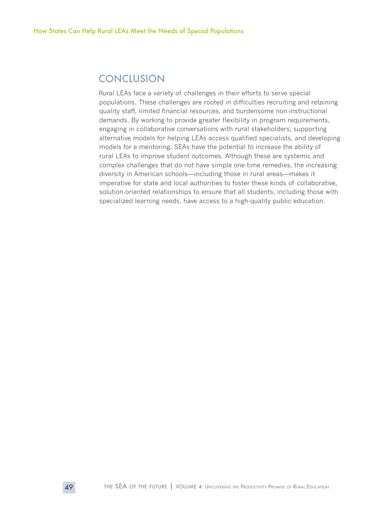### **CONCLUSION**

Rural LEAs face a variety of challenges in their efforts to serve special populations. These challenges are rooted in difficulties recruiting and retaining quality staff, limited financial resources, and burdensome non-instructional demands. By working to provide greater flexibility in program requirements, engaging in collaborative conversations with rural stakeholders, supporting alternative models for helping LEAs access qualified specialists, and developing models for e-mentoring, SEAs have the potential to increase the ability of rural LEAs to improve student outcomes. Although these are systemic and complex challenges that do not have simple one-time remedies, the increasing diversity in American schools—including those in rural areas—makes it imperative for state and local authorities to foster these kinds of collaborative, solution-oriented relationships to ensure that all students, including those with specialized learning needs, have access to a high-quality public education.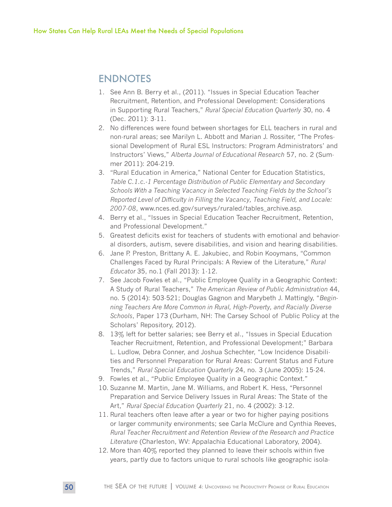### ENDNOTES

- 1. See Ann B. Berry et al., (2011). "Issues in Special Education Teacher Recruitment, Retention, and Professional Development: Considerations in Supporting Rural Teachers," *Rural Special Education Quarterly* 30, no. 4 (Dec. 2011): 3-11.
- 2. No differences were found between shortages for ELL teachers in rural and non-rural areas; see Marilyn L. Abbott and Marian J. Rossiter, "The Professional Development of Rural ESL Instructors: Program Administrators' and Instructors' Views," *Alberta Journal of Educational Research* 57, no. 2 (Summer 2011): 204-219.
- 3. "Rural Education in America," National Center for Education Statistics, *Table C.1.c.-1 Percentage Distribution of Public Elementary and Secondary Schools With a Teaching Vacancy in Selected Teaching Fields by the School's Reported Level of Difficulty in Filling the Vacancy, Teaching Field, and Locale: 2007-08*, www.nces.ed.gov/surveys/ruraled/tables\_archive.asp.
- 4. Berry et al., "Issues in Special Education Teacher Recruitment, Retention, and Professional Development."
- 5. Greatest deficits exist for teachers of students with emotional and behavioral disorders, autism, severe disabilities, and vision and hearing disabilities.
- 6. Jane P. Preston, Brittany A. E. Jakubiec, and Robin Kooymans, "Common Challenges Faced by Rural Principals: A Review of the Literature," *Rural Educator* 35, no.1 (Fall 2013): 1-12.
- 7. See Jacob Fowles et al., "Public Employee Quality in a Geographic Context: A Study of Rural Teachers," *The American Review of Public Administration* 44, no. 5 (2014): 503-521; Douglas Gagnon and Marybeth J. Mattingly, "*Beginning Teachers Are More Common in Rural, High-Poverty, and Racially Diverse Schools*, Paper 173 (Durham, NH: The Carsey School of Public Policy at the Scholars' Repository, 2012).
- 8. 13% left for better salaries; see Berry et al., "Issues in Special Education Teacher Recruitment, Retention, and Professional Development;" Barbara L. Ludlow, Debra Conner, and Joshua Schechter, "Low Incidence Disabilities and Personnel Preparation for Rural Areas: Current Status and Future Trends," *Rural Special Education Quarterly* 24, no. 3 (June 2005): 15-24.
- 9. Fowles et al., "Public Employee Quality in a Geographic Context."
- 10. Suzanne M. Martin, Jane M. Williams, and Robert K. Hess, "Personnel Preparation and Service Delivery Issues in Rural Areas: The State of the Art," *Rural Special Education Quarterly* 21, no. 4 (2002): 3-12.
- 11. Rural teachers often leave after a year or two for higher paying positions or larger community environments; see Carla McClure and Cynthia Reeves, *Rural Teacher Recruitment and Retention Review of the Research and Practice Literature* (Charleston, WV: Appalachia Educational Laboratory, 2004).
- 12. More than 40% reported they planned to leave their schools within five years, partly due to factors unique to rural schools like geographic isola-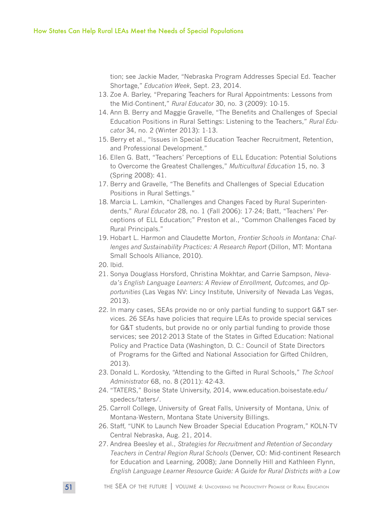tion; see Jackie Mader, "Nebraska Program Addresses Special Ed. Teacher Shortage," *Education Week*, Sept. 23, 2014.

- 13. Zoe A. Barley, "Preparing Teachers for Rural Appointments: Lessons from the Mid-Continent," *Rural Educator* 30, no. 3 (2009): 10-15.
- 14. Ann B. Berry and Maggie Gravelle, "The Benefits and Challenges of Special Education Positions in Rural Settings: Listening to the Teachers," *Rural Educator* 34, no. 2 (Winter 2013): 1-13.
- 15. Berry et al., "Issues in Special Education Teacher Recruitment, Retention, and Professional Development."
- 16. Ellen G. Batt, "Teachers' Perceptions of ELL Education: Potential Solutions to Overcome the Greatest Challenges," *Multicultural Education* 15, no. 3 (Spring 2008): 41.
- 17. Berry and Gravelle, "The Benefits and Challenges of Special Education Positions in Rural Settings."
- 18. Marcia L. Lamkin, "Challenges and Changes Faced by Rural Superintendents," *Rural Educator* 28, no. 1 (Fall 2006): 17-24; Batt, "Teachers' Perceptions of ELL Education;" Preston et al., "Common Challenges Faced by Rural Principals."
- 19. Hobart L. Harmon and Claudette Morton, *Frontier Schools in Montana: Challenges and Sustainability Practices: A Research Report* (Dillon, MT: Montana Small Schools Alliance, 2010).
- 20. Ibid.
- 21. Sonya Douglass Horsford, Christina Mokhtar, and Carrie Sampson, *Nevada's English Language Learners: A Review of Enrollment, Outcomes, and Opportunities* (Las Vegas NV: Lincy Institute, University of Nevada Las Vegas, 2013).
- 22. In many cases, SEAs provide no or only partial funding to support G&T services. 26 SEAs have policies that require LEAs to provide special services for G&T students, but provide no or only partial funding to provide those services; see 2012-2013 State of the States in Gifted Education: National Policy and Practice Data (Washington, D. C.: Council of State Directors of Programs for the Gifted and National Association for Gifted Children, 2013).
- 23. Donald L. Kordosky, "Attending to the Gifted in Rural Schools," *The School Administrator* 68, no. 8 (2011): 42-43.
- 24. "TATERS," Boise State University, 2014, www.education.boisestate.edu/ spedecs/taters/.
- 25. Carroll College, University of Great Falls, University of Montana, Univ. of Montana-Western, Montana State University Billings.
- 26. Staff, "UNK to Launch New Broader Special Education Program," KOLN-TV Central Nebraska, Aug. 21, 2014.
- 27. Andrea Beesley et al., *Strategies for Recruitment and Retention of Secondary Teachers in Central Region Rural Schools* (Denver, CO: Mid-continent Research for Education and Learning, 2008); Jane Donnelly Hill and Kathleen Flynn, *English Language Learner Resource Guide: A Guide for Rural Districts with a Low*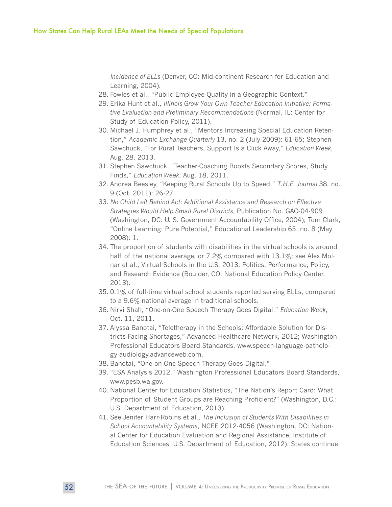*Incidence of ELLs* (Denver, CO: Mid-continent Research for Education and Learning, 2004).

- 28. Fowles et al., "Public Employee Quality in a Geographic Context."
- 29. Erika Hunt et al., *Illinois Grow Your Own Teacher Education Initiative: Formative Evaluation and Preliminary Recommendations* (Normal, IL: Center for Study of Education Policy, 2011).
- 30. Michael J. Humphrey et al., "Mentors Increasing Special Education Retention," *Academic Exchange Quarterly* 13, no. 2 (July 2009): 61-65; Stephen Sawchuck, "For Rural Teachers, Support Is a Click Away," *Education Week*, Aug. 28, 2013.
- 31. Stephen Sawchuck, "Teacher-Coaching Boosts Secondary Scores, Study Finds," *Education Week*, Aug. 18, 2011.
- 32. Andrea Beesley, "Keeping Rural Schools Up to Speed," *T.H.E. Journal* 38, no. 9 (Oct. 2011): 26-27.
- 33. *No Child Left Behind Act: Additional Assistance and Research on Effective Strategies Would Help Small Rural Districts,* Publication No. GAO-04-909 (Washington, DC: U. S. Government Accountability Office, 2004); Tom Clark, "Online Learning: Pure Potential," Educational Leadership 65, no. 8 (May 2008): 1.
- 34. The proportion of students with disabilities in the virtual schools is around half of the national average, or 7.2% compared with 13.1%: see Alex Molnar et al., Virtual Schools in the U.S. 2013: Politics, Performance, Policy, and Research Evidence (Boulder, CO: National Education Policy Center, 2013).
- 35. 0.1% of full-time virtual school students reported serving ELLs, compared to a 9.6% national average in traditional schools.
- 36. Nirvi Shah, "One-on-One Speech Therapy Goes Digital," *Education Week*, Oct. 11, 2011.
- 37. Alyssa Banotai, "Teletherapy in the Schools: Affordable Solution for Districts Facing Shortages," Advanced Healthcare Network, 2012; Washington Professional Educators Board Standards, www.speech-language-pathology-audiology.advanceweb.com.
- 38. Banotai, "One-on-One Speech Therapy Goes Digital."
- 39. "ESA Analysis 2012," Washington Professional Educators Board Standards, www.pesb.wa.gov.
- 40. National Center for Education Statistics, "The Nation's Report Card: What Proportion of Student Groups are Reaching Proficient?" (Washington, D.C.: U.S. Department of Education, 2013).
- 41. See Jenifer Harr-Robins et al., *The Inclusion of Students With Disabilities in School Accountability Systems*, NCEE 2012-4056 (Washington, DC: National Center for Education Evaluation and Regional Assistance, Institute of Education Sciences, U.S. Department of Education, 2012). States continue